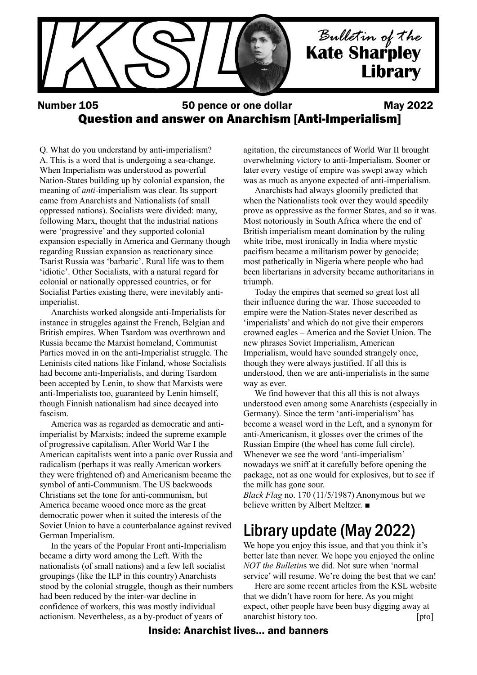

# Number 105 and 50 pence or one dollar many 2022 Question and answer on Anarchism [Anti-Imperialism]

Q. What do you understand by anti-imperialism? A. This is a word that is undergoing a sea-change. When Imperialism was understood as powerful Nation-States building up by colonial expansion, the meaning of *anti*-imperialism was clear. Its support came from Anarchists and Nationalists (of small oppressed nations). Socialists were divided: many, following Marx, thought that the industrial nations were 'progressive' and they supported colonial expansion especially in America and Germany though regarding Russian expansion as reactionary since Tsarist Russia was 'barbaric'. Rural life was to them 'idiotic'. Other Socialists, with a natural regard for colonial or nationally oppressed countries, or for Socialist Parties existing there, were inevitably antiimperialist.

Anarchists worked alongside anti-Imperialists for instance in struggles against the French, Belgian and British empires. When Tsardom was overthrown and Russia became the Marxist homeland, Communist Parties moved in on the anti-Imperialist struggle. The Leninists cited nations like Finland, whose Socialists had become anti-Imperialists, and during Tsardom been accepted by Lenin, to show that Marxists were anti-Imperialists too, guaranteed by Lenin himself, though Finnish nationalism had since decayed into fascism.

America was as regarded as democratic and antiimperialist by Marxists; indeed the supreme example of progressive capitalism. After World War I the American capitalists went into a panic over Russia and radicalism (perhaps it was really American workers they were frightened of) and Americanism became the symbol of anti-Communism. The US backwoods Christians set the tone for anti-communism, but America became wooed once more as the great democratic power when it suited the interests of the Soviet Union to have a counterbalance against revived German Imperialism.

In the years of the Popular Front anti-Imperialism became a dirty word among the Left. With the nationalists (of small nations) and a few left socialist groupings (like the ILP in this country) Anarchists stood by the colonial struggle, though as their numbers had been reduced by the inter-war decline in confidence of workers, this was mostly individual actionism. Nevertheless, as a by-product of years of

agitation, the circumstances of World War II brought overwhelming victory to anti-Imperialism. Sooner or later every vestige of empire was swept away which was as much as anyone expected of anti-imperialism.

Anarchists had always gloomily predicted that when the Nationalists took over they would speedily prove as oppressive as the former States, and so it was. Most notoriously in South Africa where the end of British imperialism meant domination by the ruling white tribe, most ironically in India where mystic pacifism became a militarism power by genocide; most pathetically in Nigeria where people who had been libertarians in adversity became authoritarians in triumph.

Today the empires that seemed so great lost all their influence during the war. Those succeeded to empire were the Nation-States never described as 'imperialists' and which do not give their emperors crowned eagles – America and the Soviet Union. The new phrases Soviet Imperialism, American Imperialism, would have sounded strangely once, though they were always justified. If all this is understood, then we are anti-imperialists in the same way as ever.

We find however that this all this is not always understood even among some Anarchists (especially in Germany). Since the term 'anti-imperialism' has become a weasel word in the Left, and a synonym for anti-Americanism, it glosses over the crimes of the Russian Empire (the wheel has come full circle). Whenever we see the word 'anti-imperialism' nowadays we sniff at it carefully before opening the package, not as one would for explosives, but to see if the milk has gone sour.

*Black Flag* no. 170 (11/5/1987) Anonymous but we believe written by Albert Meltzer. ■

# Library update (May 2022)

We hope you enjoy this issue, and that you think it's better late than never. We hope you enjoyed the online *NOT the Bulletin*s we did. Not sure when 'normal service' will resume. We're doing the best that we can!

Here are some recent articles from the KSL website that we didn't have room for here. As you might expect, other people have been busy digging away at anarchist history too. [pto]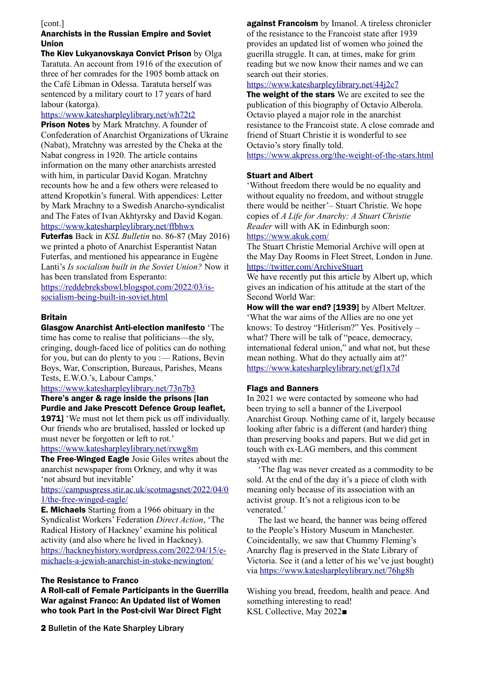#### [cont.]

### Anarchists in the Russian Empire and Soviet Union

The Kiev Lukyanovskaya Convict Prison by Olga Taratuta. An account from 1916 of the execution of three of her comrades for the 1905 bomb attack on the Café Libman in Odessa. Taratuta herself was sentenced by a military court to 17 years of hard labour (katorga).

### <https://www.katesharpleylibrary.net/wh72t2>

Prison Notes by Mark Mratchny. A founder of Confederation of Anarchist Organizations of Ukraine (Nabat), Mratchny was arrested by the Cheka at the Nabat congress in 1920. The article contains information on the many other anarchists arrested with him, in particular David Kogan. Mratchny recounts how he and a few others were released to attend Kropotkin's funeral. With appendices: Letter by Mark Mrachny to a Swedish Anarcho-syndicalist and The Fates of Ivan Akhtyrsky and David Kogan. <https://www.katesharpleylibrary.net/ffbhwx>

Futerfas Back in *KSL Bulletin* no. 86-87 (May 2016) we printed a photo of Anarchist Esperantist Natan Futerfas, and mentioned his appearance in Eugène Lanti's *Is socialism built in the Soviet Union?* Now it has been translated from Esperanto:

[https://reddebreksbowl.blogspot.com/2022/03/is](https://reddebreksbowl.blogspot.com/2022/03/is-socialism-being-built-in-soviet.html)[socialism-being-built-in-soviet.html](https://reddebreksbowl.blogspot.com/2022/03/is-socialism-being-built-in-soviet.html)

#### Britain

Glasgow Anarchist Anti-election manifesto 'The time has come to realise that politicians—the sly, cringing, dough-faced lice of politics can do nothing for you, but can do plenty to you :— Rations, Bevin Boys, War, Conscription, Bureaus, Parishes, Means Tests, E.W.O.'s, Labour Camps.'

#### <https://www.katesharpleylibrary.net/73n7b3>

## There's anger & rage inside the prisons [Ian Purdie and Jake Prescott Defence Group leaflet,

1971] 'We must not let them pick us off individually. Our friends who are brutalised, hassled or locked up must never be forgotten or left to rot.'

#### <https://www.katesharpleylibrary.net/rxwg8m>

**The Free-Winged Eagle** Josie Giles writes about the anarchist newspaper from Orkney, and why it was 'not absurd but inevitable'

[https://campuspress.stir.ac.uk/scotmagsnet/2022/04/0](https://campuspress.stir.ac.uk/scotmagsnet/2022/04/01/the-free-winged-eagle/) [1/the-free-winged-eagle/](https://campuspress.stir.ac.uk/scotmagsnet/2022/04/01/the-free-winged-eagle/)

E. Michaels Starting from a 1966 obituary in the Syndicalist Workers' Federation *Direct Action*, 'The Radical History of Hackney' examine his political activity (and also where he lived in Hackney). [https://hackneyhistory.wordpress.com/2022/04/15/e](https://hackneyhistory.wordpress.com/2022/04/15/e-michaels-a-jewish-anarchist-in-stoke-newington/)[michaels-a-jewish-anarchist-in-stoke-newington/](https://hackneyhistory.wordpress.com/2022/04/15/e-michaels-a-jewish-anarchist-in-stoke-newington/)

#### The Resistance to Franco

A Roll-call of Female Participants in the Guerrilla War against Franco: An Updated list of Women who took Part in the Post-civil War Direct Fight

against Francoism by Imanol. A tireless chronicler of the resistance to the Francoist state after 1939 provides an updated list of women who joined the guerilla struggle. It can, at times, make for grim reading but we now know their names and we can search out their stories.

### <https://www.katesharpleylibrary.net/44j2c7>

The weight of the stars We are excited to see the publication of this biography of Octavio Alberola. Octavio played a major role in the anarchist resistance to the Francoist state. A close comrade and friend of Stuart Christie it is wonderful to see Octavio's story finally told.

<https://www.akpress.org/the-weight-of-the-stars.html>

#### Stuart and Albert

'Without freedom there would be no equality and without equality no freedom, and without struggle there would be neither'– Stuart Christie. We hope copies of *A Life for Anarchy: A Stuart Christie Reader* will with AK in Edinburgh soon: <https://www.akuk.com/>

The Stuart Christie Memorial Archive will open at the May Day Rooms in Fleet Street, London in June. <https://twitter.com/ArchiveStuart>

We have recently put this article by Albert up, which gives an indication of his attitude at the start of the Second World War:

How will the war end? [1939] by Albert Meltzer. 'What the war aims of the Allies are no one yet knows: To destroy "Hitlerism?" Yes. Positively – what? There will be talk of "peace, democracy, international federal union," and what not, but these mean nothing. What do they actually aim at?' <https://www.katesharpleylibrary.net/gf1x7d>

#### Flags and Banners

In 2021 we were contacted by someone who had been trying to sell a banner of the Liverpool Anarchist Group. Nothing came of it, largely because looking after fabric is a different (and harder) thing than preserving books and papers. But we did get in touch with ex-LAG members, and this comment stayed with me:

'The flag was never created as a commodity to be sold. At the end of the day it's a piece of cloth with meaning only because of its association with an activist group. It's not a religious icon to be venerated.'

The last we heard, the banner was being offered to the People's History Museum in Manchester. Coincidentally, we saw that Chummy Fleming's Anarchy flag is preserved in the State Library of Victoria. See it (and a letter of his we've just bought) via<https://www.katesharpleylibrary.net/76hg8h>

Wishing you bread, freedom, health and peace. And something interesting to read! KSL Collective, May 2022■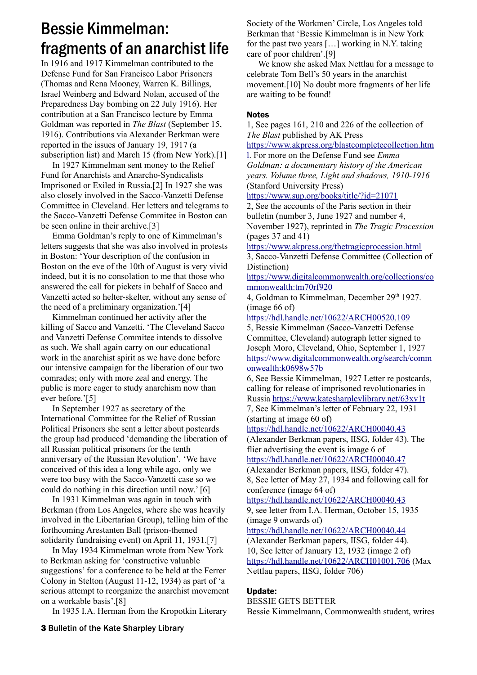# Bessie Kimmelman: fragments of an anarchist life

In 1916 and 1917 Kimmelman contributed to the Defense Fund for San Francisco Labor Prisoners (Thomas and Rena Mooney, Warren K. Billings, Israel Weinberg and Edward Nolan, accused of the Preparedness Day bombing on 22 July 1916). Her contribution at a San Francisco lecture by Emma Goldman was reported in *The Blast* (September 15, 1916). Contributions via Alexander Berkman were reported in the issues of January 19, 1917 (a subscription list) and March 15 (from New York).[1]

In 1927 Kimmelman sent money to the Relief Fund for Anarchists and Anarcho-Syndicalists Imprisoned or Exiled in Russia.[2] In 1927 she was also closely involved in the Sacco-Vanzetti Defense Committee in Cleveland. Her letters and telegrams to the Sacco-Vanzetti Defense Commitee in Boston can be seen online in their archive.[3]

Emma Goldman's reply to one of Kimmelman's letters suggests that she was also involved in protests in Boston: 'Your description of the confusion in Boston on the eve of the 10th of August is very vivid indeed, but it is no consolation to me that those who answered the call for pickets in behalf of Sacco and Vanzetti acted so helter-skelter, without any sense of the need of a preliminary organization.'[4]

Kimmelman continued her activity after the killing of Sacco and Vanzetti. 'The Cleveland Sacco and Vanzetti Defense Commitee intends to dissolve as such. We shall again carry on our educational work in the anarchist spirit as we have done before our intensive campaign for the liberation of our two comrades; only with more zeal and energy. The public is more eager to study anarchism now than ever before.'[5]

In September 1927 as secretary of the International Committee for the Relief of Russian Political Prisoners she sent a letter about postcards the group had produced 'demanding the liberation of all Russian political prisoners for the tenth anniversary of the Russian Revolution'. 'We have conceived of this idea a long while ago, only we were too busy with the Sacco-Vanzetti case so we could do nothing in this direction until now.' [6]

In 1931 Kimmelman was again in touch with Berkman (from Los Angeles, where she was heavily involved in the Libertarian Group), telling him of the forthcoming Arestanten Ball (prison-themed solidarity fundraising event) on April 11, 1931.[7]

In May 1934 Kimmelman wrote from New York to Berkman asking for 'constructive valuable suggestions' for a conference to be held at the Ferrer Colony in Stelton (August 11-12, 1934) as part of 'a serious attempt to reorganize the anarchist movement on a workable basis'.[8]

In 1935 I.A. Herman from the Kropotkin Literary

Society of the Workmen' Circle, Los Angeles told Berkman that 'Bessie Kimmelman is in New York for the past two years […] working in N.Y. taking care of poor children'.[9]

We know she asked Max Nettlau for a message to celebrate Tom Bell's 50 years in the anarchist movement.[10] No doubt more fragments of her life are waiting to be found!

### Notes

1, See pages 161, 210 and 226 of the collection of *The Blast* published by AK Press

[https://www.akpress.org/blastcompletecollection.htm](https://www.akpress.org/blastcompletecollection.html)

[l](https://www.akpress.org/blastcompletecollection.html). For more on the Defense Fund see *Emma Goldman: a documentary history of the American years. Volume three, Light and shadows, 1910-1916* (Stanford University Press)

<https://www.sup.org/books/title/?id=21071>

2, See the accounts of the Paris section in their bulletin (number 3, June 1927 and number 4, November 1927), reprinted in *The Tragic Procession* (pages 37 and 41)

<https://www.akpress.org/thetragicprocession.html>

3, Sacco-Vanzetti Defense Committee (Collection of Distinction)

[https://www.digitalcommonwealth.org/collections/co](https://www.digitalcommonwealth.org/collections/commonwealth:tm70rf920) [mmonwealth:tm70rf920](https://www.digitalcommonwealth.org/collections/commonwealth:tm70rf920)

4, Goldman to Kimmelman, December  $29<sup>th</sup> 1927$ . (image 66 of)

<https://hdl.handle.net/10622/ARCH00520.109>

5, Bessie Kimmelman (Sacco-Vanzetti Defense Committee, Cleveland) autograph letter signed to Joseph Moro, Cleveland, Ohio, September 1, 1927 [https://www.digitalcommonwealth.org/search/comm](https://www.digitalcommonwealth.org/search/commonwealth:k0698w57b) [onwealth:k0698w57b](https://www.digitalcommonwealth.org/search/commonwealth:k0698w57b)

6, See Bessie Kimmelman, 1927 Letter re postcards, calling for release of imprisoned revolutionaries in Russia<https://www.katesharpleylibrary.net/63xv1t> 7, See Kimmelman's letter of February 22, 1931

(starting at image 60 of) <https://hdl.handle.net/10622/ARCH00040.43>

(Alexander Berkman papers, IISG, folder 43). The flier advertising the event is image 6 of

<https://hdl.handle.net/10622/ARCH00040.47>

(Alexander Berkman papers, IISG, folder 47). 8, See letter of May 27, 1934 and following call for conference (image 64 of)

<https://hdl.handle.net/10622/ARCH00040.43> 9, see letter from I.A. Herman, October 15, 1935 (image 9 onwards of)

<https://hdl.handle.net/10622/ARCH00040.44>

(Alexander Berkman papers, IISG, folder 44). 10, See letter of January 12, 1932 (image 2 of) <https://hdl.handle.net/10622/ARCH01001.706>(Max Nettlau papers, IISG, folder 706)

### Update:

BESSIE GETS BETTER

Bessie Kimmelmann, Commonwealth student, writes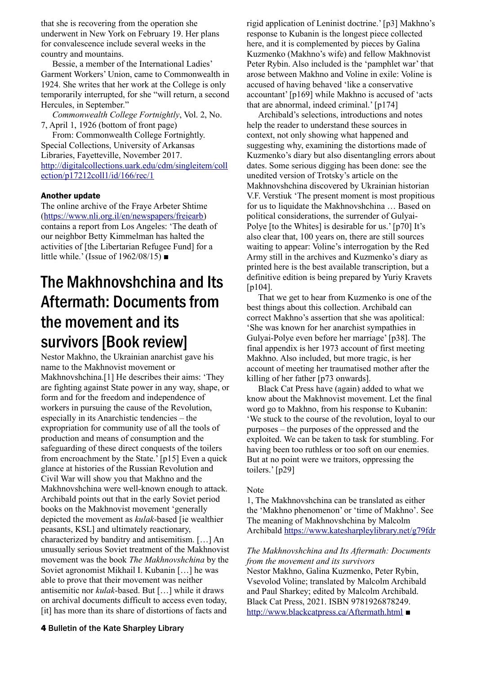that she is recovering from the operation she underwent in New York on February 19. Her plans for convalescence include several weeks in the country and mountains.

Bessie, a member of the International Ladies' Garment Workers' Union, came to Commonwealth in 1924. She writes that her work at the College is only temporarily interrupted, for she "will return, a second Hercules, in September."

*Commonwealth College Fortnightly*, Vol. 2, No. 7, April 1, 1926 (bottom of front page)

From: Commonwealth College Fortnightly. Special Collections, University of Arkansas Libraries, Fayetteville, November 2017. [http://digitalcollections.uark.edu/cdm/singleitem/coll](http://digitalcollections.uark.edu/cdm/singleitem/collection/p17212coll1/id/166/rec/1) [ection/p17212coll1/id/166/rec/1](http://digitalcollections.uark.edu/cdm/singleitem/collection/p17212coll1/id/166/rec/1)

#### Another update

The online archive of the Fraye Arbeter Shtime (<https://www.nli.org.il/en/newspapers/freiearb>) contains a report from Los Angeles: 'The death of our neighbor Betty Kimmelman has halted the activities of [the Libertarian Refugee Fund] for a little while.' (Issue of 1962/08/15) ■

# The Makhnovshchina and Its Aftermath: Documents from the movement and its survivors [Book review]

Nestor Makhno, the Ukrainian anarchist gave his name to the Makhnovist movement or Makhnovshchina.[1] He describes their aims: 'They are fighting against State power in any way, shape, or form and for the freedom and independence of workers in pursuing the cause of the Revolution, especially in its Anarchistic tendencies – the expropriation for community use of all the tools of production and means of consumption and the safeguarding of these direct conquests of the toilers from encroachment by the State.' [p15] Even a quick glance at histories of the Russian Revolution and Civil War will show you that Makhno and the Makhnovshchina were well-known enough to attack. Archibald points out that in the early Soviet period books on the Makhnovist movement 'generally depicted the movement as *kulak*-based [ie wealthier peasants, KSL] and ultimately reactionary, characterized by banditry and antisemitism. […] An unusually serious Soviet treatment of the Makhnovist movement was the book *The Makhnovshchina* by the Soviet agronomist Mikhail I. Kubanin […] he was able to prove that their movement was neither antisemitic nor *kulak*-based. But […] while it draws on archival documents difficult to access even today, [it] has more than its share of distortions of facts and

rigid application of Leninist doctrine.' [p3] Makhno's response to Kubanin is the longest piece collected here, and it is complemented by pieces by Galina Kuzmenko (Makhno's wife) and fellow Makhnovist Peter Rybin. Also included is the 'pamphlet war' that arose between Makhno and Voline in exile: Voline is accused of having behaved 'like a conservative accountant' [p169] while Makhno is accused of 'acts that are abnormal, indeed criminal.' [p174]

Archibald's selections, introductions and notes help the reader to understand these sources in context, not only showing what happened and suggesting why, examining the distortions made of Kuzmenko's diary but also disentangling errors about dates. Some serious digging has been done: see the unedited version of Trotsky's article on the Makhnovshchina discovered by Ukrainian historian V.F. Verstiuk 'The present moment is most propitious for us to liquidate the Makhnovshchina … Based on political considerations, the surrender of Gulyai-Polye [to the Whites] is desirable for us.' [p70] It's also clear that, 100 years on, there are still sources waiting to appear: Voline's interrogation by the Red Army still in the archives and Kuzmenko's diary as printed here is the best available transcription, but a definitive edition is being prepared by Yuriy Kravets [p104].

That we get to hear from Kuzmenko is one of the best things about this collection. Archibald can correct Makhno's assertion that she was apolitical: 'She was known for her anarchist sympathies in Gulyai-Polye even before her marriage' [p38]. The final appendix is her 1973 account of first meeting Makhno. Also included, but more tragic, is her account of meeting her traumatised mother after the killing of her father [p73 onwards].

Black Cat Press have (again) added to what we know about the Makhnovist movement. Let the final word go to Makhno, from his response to Kubanin: 'We stuck to the course of the revolution, loyal to our purposes – the purposes of the oppressed and the exploited. We can be taken to task for stumbling. For having been too ruthless or too soft on our enemies. But at no point were we traitors, oppressing the toilers.' [p29]

#### Note

1, The Makhnovshchina can be translated as either the 'Makhno phenomenon' or 'time of Makhno'. See The meaning of Makhnovshchina by Malcolm Archibald <https://www.katesharpleylibrary.net/g79fdr>

*The Makhnovshchina and Its Aftermath: Documents from the movement and its survivors* Nestor Makhno, Galina Kuzmenko, Peter Rybin, Vsevolod Voline; translated by Malcolm Archibald and Paul Sharkey; edited by Malcolm Archibald. Black Cat Press, 2021. ISBN 9781926878249. <http://www.blackcatpress.ca/Aftermath.html> ■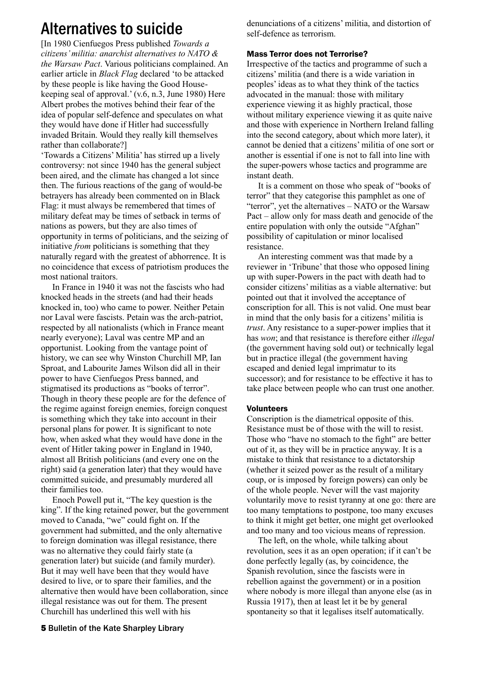# Alternatives to suicide

[In 1980 Cienfuegos Press published *Towards a citizens' militia: anarchist alternatives to NATO & the Warsaw Pact*. Various politicians complained. An earlier article in *Black Flag* declared 'to be attacked by these people is like having the Good Housekeeping seal of approval.' (v.6, n.3, June 1980) Here Albert probes the motives behind their fear of the idea of popular self-defence and speculates on what they would have done if Hitler had successfully invaded Britain. Would they really kill themselves rather than collaborate?]

'Towards a Citizens' Militia' has stirred up a lively controversy: not since 1940 has the general subject been aired, and the climate has changed a lot since then. The furious reactions of the gang of would-be betrayers has already been commented on in Black Flag: it must always be remembered that times of military defeat may be times of setback in terms of nations as powers, but they are also times of opportunity in terms of politicians, and the seizing of initiative *from* politicians is something that they naturally regard with the greatest of abhorrence. It is no coincidence that excess of patriotism produces the most national traitors.

In France in 1940 it was not the fascists who had knocked heads in the streets (and had their heads knocked in, too) who came to power. Neither Petain nor Laval were fascists. Petain was the arch-patriot, respected by all nationalists (which in France meant nearly everyone); Laval was centre MP and an opportunist. Looking from the vantage point of history, we can see why Winston Churchill MP, Ian Sproat, and Labourite James Wilson did all in their power to have Cienfuegos Press banned, and stigmatised its productions as "books of terror". Though in theory these people are for the defence of the regime against foreign enemies, foreign conquest is something which they take into account in their personal plans for power. It is significant to note how, when asked what they would have done in the event of Hitler taking power in England in 1940, almost all British politicians (and every one on the right) said (a generation later) that they would have committed suicide, and presumably murdered all their families too.

Enoch Powell put it, "The key question is the king". If the king retained power, but the government moved to Canada, "we" could fight on. If the government had submitted, and the only alternative to foreign domination was illegal resistance, there was no alternative they could fairly state (a generation later) but suicide (and family murder). But it may well have been that they would have desired to live, or to spare their families, and the alternative then would have been collaboration, since illegal resistance was out for them. The present Churchill has underlined this well with his

denunciations of a citizens' militia, and distortion of self-defence as terrorism.

### Mass Terror does not Terrorise?

Irrespective of the tactics and programme of such a citizens' militia (and there is a wide variation in peoples' ideas as to what they think of the tactics advocated in the manual: those with military experience viewing it as highly practical, those without military experience viewing it as quite naive and those with experience in Northern Ireland falling into the second category, about which more later), it cannot be denied that a citizens' militia of one sort or another is essential if one is not to fall into line with the super-powers whose tactics and programme are instant death.

It is a comment on those who speak of "books of terror" that they categorise this pamphlet as one of "terror", yet the alternatives – NATO or the Warsaw Pact – allow only for mass death and genocide of the entire population with only the outside "Afghan" possibility of capitulation or minor localised resistance.

An interesting comment was that made by a reviewer in 'Tribune' that those who opposed lining up with super-Powers in the pact with death had to consider citizens' militias as a viable alternative: but pointed out that it involved the acceptance of conscription for all. This is not valid. One must bear in mind that the only basis for a citizens' militia is *trust*. Any resistance to a super-power implies that it has *won*; and that resistance is therefore either *illegal* (the government having sold out) or technically legal but in practice illegal (the government having escaped and denied legal imprimatur to its successor); and for resistance to be effective it has to take place between people who can trust one another.

#### Volunteers

Conscription is the diametrical opposite of this. Resistance must be of those with the will to resist. Those who "have no stomach to the fight" are better out of it, as they will be in practice anyway. It is a mistake to think that resistance to a dictatorship (whether it seized power as the result of a military coup, or is imposed by foreign powers) can only be of the whole people. Never will the vast majority voluntarily move to resist tyranny at one go: there are too many temptations to postpone, too many excuses to think it might get better, one might get overlooked and too many and too vicious means of repression.

The left, on the whole, while talking about revolution, sees it as an open operation; if it can't be done perfectly legally (as, by coincidence, the Spanish revolution, since the fascists were in rebellion against the government) or in a position where nobody is more illegal than anyone else (as in Russia 1917), then at least let it be by general spontaneity so that it legalises itself automatically.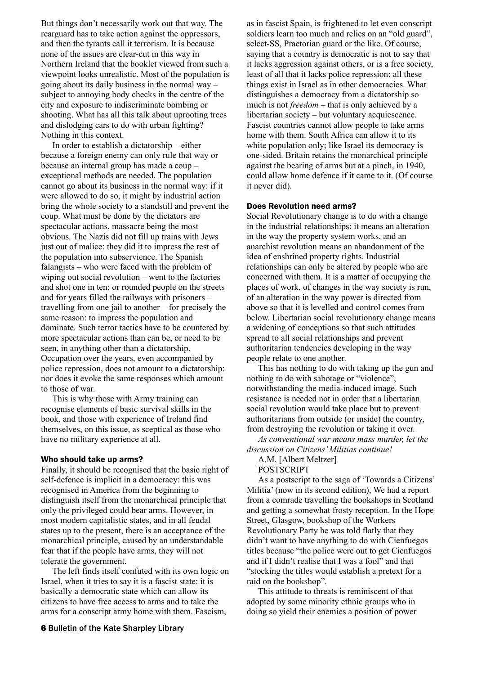But things don't necessarily work out that way. The rearguard has to take action against the oppressors, and then the tyrants call it terrorism. It is because none of the issues are clear-cut in this way in Northern Ireland that the booklet viewed from such a viewpoint looks unrealistic. Most of the population is going about its daily business in the normal way – subject to annoying body checks in the centre of the city and exposure to indiscriminate bombing or shooting. What has all this talk about uprooting trees and dislodging cars to do with urban fighting? Nothing in this context.

In order to establish a dictatorship – either because a foreign enemy can only rule that way or because an internal group has made a coup – exceptional methods are needed. The population cannot go about its business in the normal way: if it were allowed to do so, it might by industrial action bring the whole society to a standstill and prevent the coup. What must be done by the dictators are spectacular actions, massacre being the most obvious. The Nazis did not fill up trains with Jews just out of malice: they did it to impress the rest of the population into subservience. The Spanish falangists – who were faced with the problem of wiping out social revolution – went to the factories and shot one in ten; or rounded people on the streets and for years filled the railways with prisoners – travelling from one jail to another – for precisely the same reason: to impress the population and dominate. Such terror tactics have to be countered by more spectacular actions than can be, or need to be seen, in anything other than a dictatorship. Occupation over the years, even accompanied by police repression, does not amount to a dictatorship: nor does it evoke the same responses which amount to those of war.

This is why those with Army training can recognise elements of basic survival skills in the book, and those with experience of Ireland find themselves, on this issue, as sceptical as those who have no military experience at all.

#### Who should take up arms?

Finally, it should be recognised that the basic right of self-defence is implicit in a democracy: this was recognised in America from the beginning to distinguish itself from the monarchical principle that only the privileged could bear arms. However, in most modern capitalistic states, and in all feudal states up to the present, there is an acceptance of the monarchical principle, caused by an understandable fear that if the people have arms, they will not tolerate the government.

The left finds itself confuted with its own logic on Israel, when it tries to say it is a fascist state: it is basically a democratic state which can allow its citizens to have free access to arms and to take the arms for a conscript army home with them. Fascism,

as in fascist Spain, is frightened to let even conscript soldiers learn too much and relies on an "old guard", select-SS, Praetorian guard or the like. Of course, saying that a country is democratic is not to say that it lacks aggression against others, or is a free society, least of all that it lacks police repression: all these things exist in Israel as in other democracies. What distinguishes a democracy from a dictatorship so much is not *freedom* – that is only achieved by a libertarian society – but voluntary acquiescence. Fascist countries cannot allow people to take arms home with them. South Africa can allow it to its white population only; like Israel its democracy is one-sided. Britain retains the monarchical principle against the bearing of arms but at a pinch, in 1940, could allow home defence if it came to it. (Of course it never did).

#### Does Revolution need arms?

Social Revolutionary change is to do with a change in the industrial relationships: it means an alteration in the way the property system works, and an anarchist revolution means an abandonment of the idea of enshrined property rights. Industrial relationships can only be altered by people who are concerned with them. It is a matter of occupying the places of work, of changes in the way society is run, of an alteration in the way power is directed from above so that it is levelled and control comes from below. Libertarian social revolutionary change means a widening of conceptions so that such attitudes spread to all social relationships and prevent authoritarian tendencies developing in the way people relate to one another.

This has nothing to do with taking up the gun and nothing to do with sabotage or "violence", notwithstanding the media-induced image. Such resistance is needed not in order that a libertarian social revolution would take place but to prevent authoritarians from outside (or inside) the country, from destroying the revolution or taking it over.

*As conventional war means mass murder, let the discussion on Citizens' Militias continue!*

A.M. [Albert Meltzer] POSTSCRIPT

As a postscript to the saga of 'Towards a Citizens' Militia' (now in its second edition), We had a report from a comrade travelling the bookshops in Scotland and getting a somewhat frosty reception. In the Hope Street, Glasgow, bookshop of the Workers Revolutionary Party he was told flatly that they didn't want to have anything to do with Cienfuegos titles because "the police were out to get Cienfuegos and if I didn't realise that I was a fool" and that "stocking the titles would establish a pretext for a raid on the bookshop".

This attitude to threats is reminiscent of that adopted by some minority ethnic groups who in doing so yield their enemies a position of power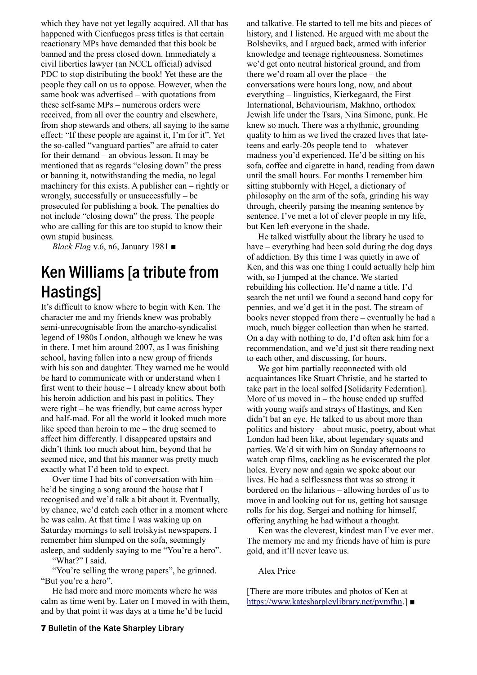which they have not yet legally acquired. All that has happened with Cienfuegos press titles is that certain reactionary MPs have demanded that this book be banned and the press closed down. Immediately a civil liberties lawyer (an NCCL official) advised PDC to stop distributing the book! Yet these are the people they call on us to oppose. However, when the same book was advertised – with quotations from these self-same MPs – numerous orders were received, from all over the country and elsewhere, from shop stewards and others, all saying to the same effect: "If these people are against it, I'm for it". Yet the so-called "vanguard parties" are afraid to cater for their demand – an obvious lesson. It may be mentioned that as regards "closing down" the press or banning it, notwithstanding the media, no legal machinery for this exists. A publisher can – rightly or wrongly, successfully or unsuccessfully – be prosecuted for publishing a book. The penalties do not include "closing down" the press. The people who are calling for this are too stupid to know their own stupid business.

*Black Flag* v.6, n6, January 1981 ■

# Ken Williams [a tribute from **Hastingsl**

It's difficult to know where to begin with Ken. The character me and my friends knew was probably semi-unrecognisable from the anarcho-syndicalist legend of 1980s London, although we knew he was in there. I met him around 2007, as I was finishing school, having fallen into a new group of friends with his son and daughter. They warned me he would be hard to communicate with or understand when I first went to their house – I already knew about both his heroin addiction and his past in politics. They were right – he was friendly, but came across hyper and half-mad. For all the world it looked much more like speed than heroin to me – the drug seemed to affect him differently. I disappeared upstairs and didn't think too much about him, beyond that he seemed nice, and that his manner was pretty much exactly what I'd been told to expect.

Over time I had bits of conversation with him – he'd be singing a song around the house that I recognised and we'd talk a bit about it. Eventually, by chance, we'd catch each other in a moment where he was calm. At that time I was waking up on Saturday mornings to sell trotskyist newspapers. I remember him slumped on the sofa, seemingly asleep, and suddenly saying to me "You're a hero".

"What?" I said.

"You're selling the wrong papers", he grinned. "But you're a hero".

He had more and more moments where he was calm as time went by. Later on I moved in with them, and by that point it was days at a time he'd be lucid

and talkative. He started to tell me bits and pieces of history, and I listened. He argued with me about the Bolsheviks, and I argued back, armed with inferior knowledge and teenage righteousness. Sometimes we'd get onto neutral historical ground, and from there we'd roam all over the place – the conversations were hours long, now, and about everything – linguistics, Kierkegaard, the First International, Behaviourism, Makhno, orthodox Jewish life under the Tsars, Nina Simone, punk. He knew so much. There was a rhythmic, grounding quality to him as we lived the crazed lives that lateteens and early-20s people tend to – whatever madness you'd experienced. He'd be sitting on his sofa, coffee and cigarette in hand, reading from dawn until the small hours. For months I remember him sitting stubbornly with Hegel, a dictionary of philosophy on the arm of the sofa, grinding his way through, cheerily parsing the meaning sentence by sentence. I've met a lot of clever people in my life, but Ken left everyone in the shade.

He talked wistfully about the library he used to have – everything had been sold during the dog days of addiction. By this time I was quietly in awe of Ken, and this was one thing I could actually help him with, so I jumped at the chance. We started rebuilding his collection. He'd name a title, I'd search the net until we found a second hand copy for pennies, and we'd get it in the post. The stream of books never stopped from there – eventually he had a much, much bigger collection than when he started. On a day with nothing to do, I'd often ask him for a recommendation, and we'd just sit there reading next to each other, and discussing, for hours.

We got him partially reconnected with old acquaintances like Stuart Christie, and he started to take part in the local solfed [Solidarity Federation]. More of us moved in – the house ended up stuffed with young waifs and strays of Hastings, and Ken didn't bat an eye. He talked to us about more than politics and history – about music, poetry, about what London had been like, about legendary squats and parties. We'd sit with him on Sunday afternoons to watch crap films, cackling as he eviscerated the plot holes. Every now and again we spoke about our lives. He had a selflessness that was so strong it bordered on the hilarious – allowing hordes of us to move in and looking out for us, getting hot sausage rolls for his dog, Sergei and nothing for himself, offering anything he had without a thought.

Ken was the cleverest, kindest man I've ever met. The memory me and my friends have of him is pure gold, and it'll never leave us.

Alex Price

[There are more tributes and photos of Ken at <https://www.katesharpleylibrary.net/pvmfhn>.] ■